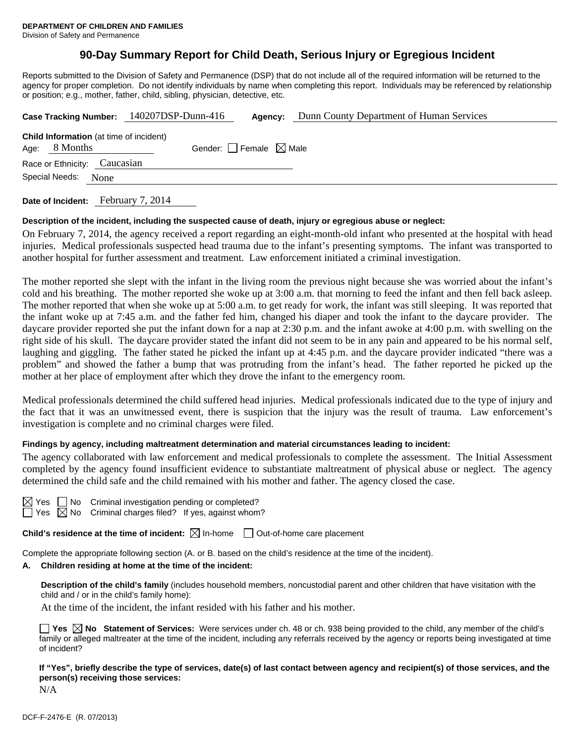# **90-Day Summary Report for Child Death, Serious Injury or Egregious Incident**

Reports submitted to the Division of Safety and Permanence (DSP) that do not include all of the required information will be returned to the agency for proper completion. Do not identify individuals by name when completing this report. Individuals may be referenced by relationship or position; e.g., mother, father, child, sibling, physician, detective, etc.

|                                                                   | Case Tracking Number: 140207DSP-Dunn-416<br>Agency: | Dunn County Department of Human Services |
|-------------------------------------------------------------------|-----------------------------------------------------|------------------------------------------|
| <b>Child Information</b> (at time of incident)<br>Age: $8$ Months | Gender: Female $\boxtimes$ Male                     |                                          |
| Race or Ethnicity: Caucasian                                      |                                                     |                                          |
| Special Needs:<br>None                                            |                                                     |                                          |
|                                                                   |                                                     |                                          |

**Date of Incident:** February 7, 2014

### **Description of the incident, including the suspected cause of death, injury or egregious abuse or neglect:**

On February 7, 2014, the agency received a report regarding an eight-month-old infant who presented at the hospital with head injuries. Medical professionals suspected head trauma due to the infant's presenting symptoms. The infant was transported to another hospital for further assessment and treatment. Law enforcement initiated a criminal investigation.

The mother reported she slept with the infant in the living room the previous night because she was worried about the infant's cold and his breathing. The mother reported she woke up at 3:00 a.m. that morning to feed the infant and then fell back asleep. The mother reported that when she woke up at 5:00 a.m. to get ready for work, the infant was still sleeping. It was reported that the infant woke up at 7:45 a.m. and the father fed him, changed his diaper and took the infant to the daycare provider. The daycare provider reported she put the infant down for a nap at 2:30 p.m. and the infant awoke at 4:00 p.m. with swelling on the right side of his skull. The daycare provider stated the infant did not seem to be in any pain and appeared to be his normal self, laughing and giggling. The father stated he picked the infant up at 4:45 p.m. and the daycare provider indicated "there was a problem" and showed the father a bump that was protruding from the infant's head. The father reported he picked up the mother at her place of employment after which they drove the infant to the emergency room.

Medical professionals determined the child suffered head injuries. Medical professionals indicated due to the type of injury and the fact that it was an unwitnessed event, there is suspicion that the injury was the result of trauma. Law enforcement's investigation is complete and no criminal charges were filed.

### **Findings by agency, including maltreatment determination and material circumstances leading to incident:**

The agency collaborated with law enforcement and medical professionals to complete the assessment. The Initial Assessment completed by the agency found insufficient evidence to substantiate maltreatment of physical abuse or neglect. The agency determined the child safe and the child remained with his mother and father. The agency closed the case.

| 95 |  |
|----|--|
| c  |  |

No Criminal investigation pending or completed? No Criminal charges filed? If yes, against whom?

**Child's residence at the time of incident:**  $\boxtimes$  In-home  $\Box$  Out-of-home care placement

Complete the appropriate following section (A. or B. based on the child's residence at the time of the incident).

### **A. Children residing at home at the time of the incident:**

**Description of the child's family** (includes household members, noncustodial parent and other children that have visitation with the child and / or in the child's family home):

At the time of the incident, the infant resided with his father and his mother.

**Yes**  $\boxtimes$  **No** Statement of Services: Were services under ch. 48 or ch. 938 being provided to the child, any member of the child's family or alleged maltreater at the time of the incident, including any referrals received by the agency or reports being investigated at time of incident?

**If "Yes", briefly describe the type of services, date(s) of last contact between agency and recipient(s) of those services, and the person(s) receiving those services:** 

N/A